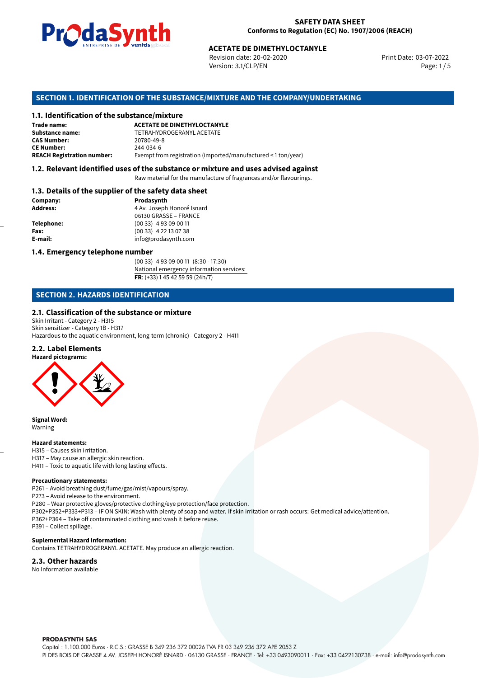

Revision date: 20-02-2020 Version: 3.1/CLP/EN Page: 1 / 5

Print Date: 03-07-2022

# **SECTION 1. IDENTIFICATION OF THE SUBSTANCE/MIXTURE AND THE COMPANY/UNDERTAKING**

#### **1.1. Identification of the substance/mixture**

|                                              | LIVING THE DE <b>DE VOINGS</b> SUSSESSIONS<br><b>ACETATE DE DIMETHYLOCTANYLE</b><br>Revision date: 20-02-2020<br>Version: 3.1/CLP/EN |
|----------------------------------------------|--------------------------------------------------------------------------------------------------------------------------------------|
|                                              | SECTION 1. IDENTIFICATION OF THE SUBSTANCE/MIXTURE AND THE COMPANY/UND                                                               |
| 1.1. Identification of the substance/mixture |                                                                                                                                      |
| Trade name:                                  | <b>ACETATE DE DIMETHYLOCTANYLE</b>                                                                                                   |
| <b>Substance name:</b>                       | TETRAHYDROGERANYL ACETATE                                                                                                            |
| <b>CAS Number:</b>                           | 20780-49-8                                                                                                                           |
| <b>CE Number:</b>                            | 244-034-6                                                                                                                            |
| <b>REACH Registration number:</b>            | Exempt from registration (imported/manufactured < 1 ton/year)                                                                        |
|                                              |                                                                                                                                      |

# **1.2. Relevant identified uses of the substance or mixture and uses advised against**

Raw material for the manufacture of fragrances and/or flavourings.

# **1.3. Details of the supplier of the safety data sheet**

| Company:          | Prodasynth                 |  |
|-------------------|----------------------------|--|
| <b>Address:</b>   | 4 Av. Joseph Honoré Isnard |  |
|                   | 06130 GRASSE - FRANCE      |  |
| <b>Telephone:</b> | $(0033)$ 4 93 09 00 11     |  |
| Fax:              | $(0033)$ 4 22 13 07 38     |  |
| E-mail:           | info@prodasynth.com        |  |
|                   |                            |  |

#### **1.4. Emergency telephone number**

(00 33) 4 93 09 00 11 (8:30 - 17:30) National emergency information services: **FR**: (+33) 1 45 42 59 59 (24h/7)

# **SECTION 2. HAZARDS IDENTIFICATION**

#### **2.1. Classification of the substance or mixture**

Skin Irritant - Category 2 - H315 Skin sensitizer - Category 1B - H317 Hazardous to the aquatic environment, long-term (chronic) - Category 2 - H411

# **2.2. Label Elements**



**Signal Word:** Warning

#### **Hazard statements:**

H315 – Causes skin irritation. H317 – May cause an allergic skin reaction. H411 – Toxic to aquatic life with long lasting effects.

#### **Precautionary statements:**

P261 – Avoid breathing dust/fume/gas/mist/vapours/spray.

P273 – Avoid release to the environment.

P280 – Wear protective gloves/protective clothing/eye protection/face protection. P302+P352+P333+P313 – IF ON SKIN: Wash with plenty of soap and water. If skin irritation or rash occurs: Get medical advice/attention. P362+P364 – Take off contaminated clothing and wash it before reuse. P391 – Collect spillage.

#### **Suplemental Hazard Information:**

Contains TETRAHYDROGERANYL ACETATE. May produce an allergic reaction.

### **2.3. Other hazards**

No Information available

**PRODASYNTH SAS** 

Capital : 1.100.000 Euros · R.C.S.: GRASSE B 349 236 372 00026 TVA FR 03 349 236 372 APE 2053 Z PI DES BOIS DE GRASSE 4 AV. JOSEPH HONORÉ ISNARD · 06130 GRASSE · FRANCE · Tel: +33 0493090011 · Fax: +33 0422130738 · e-mail: info@prodasynth.com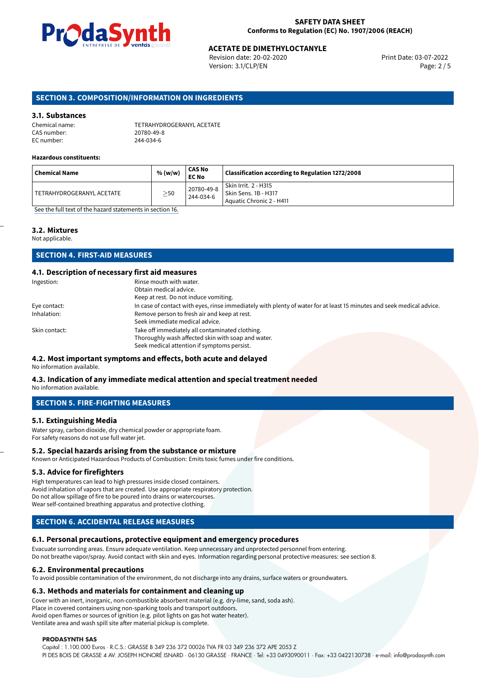

Revision date: 20-02-2020 Version: 3.1/CLP/EN Page: 2 / 5

### **SECTION 3. COMPOSITION/INFORMATION ON INGREDIENTS**

#### **3.1. Substances**

| Chemical name: | TETRAHYDROGERANYL ACETATE |
|----------------|---------------------------|
| CAS number:    | 20780-49-8                |
| EC number:     | 244-034-6                 |

#### **Hazardous constituents:**

| <b>Chemical Name</b>      | % (w/w)   | CAS No<br>EC No         | Classification according to Regulation 1272/2008                         |
|---------------------------|-----------|-------------------------|--------------------------------------------------------------------------|
| TETRAHYDROGERANYL ACETATE | $\geq$ 50 | 20780-49-8<br>244-034-6 | Skin Irrit. 2 - H315<br>Skin Sens. 1B - H317<br>Aquatic Chronic 2 - H411 |

[See the full text of the hazard statements in section 16.](#page-4-0)

#### **3.2. Mixtures**

Not applicable.

# **SECTION 4. FIRST-AID MEASURES**

#### **4.1. Description of necessary first aid measures**

| Ingestion:    | Rinse mouth with water.                                                                                               |
|---------------|-----------------------------------------------------------------------------------------------------------------------|
|               | Obtain medical advice.                                                                                                |
|               | Keep at rest. Do not induce vomiting.                                                                                 |
| Eye contact:  | In case of contact with eyes, rinse immediately with plenty of water for at least 15 minutes and seek medical advice. |
| Inhalation:   | Remove person to fresh air and keep at rest.                                                                          |
|               | Seek immediate medical advice.                                                                                        |
| Skin contact: | Take off immediately all contaminated clothing.                                                                       |
|               | Thoroughly wash affected skin with soap and water.                                                                    |
|               | Seek medical attention if symptoms persist.                                                                           |

# **4.2. Most important symptoms and effects, both acute and delayed**

No information available.

# **4.3. Indication of any immediate medical attention and special treatment needed**

No information available.

# **SECTION 5. FIRE-FIGHTING MEASURES**

#### **5.1. Extinguishing Media**

Water spray, carbon dioxide, dry chemical powder or appropriate foam. For safety reasons do not use full water jet.

#### **5.2. Special hazards arising from the substance or mixture**

Known or Anticipated Hazardous Products of Combustion: Emits toxic fumes under fire conditions.

#### **5.3. Advice for firefighters**

High temperatures can lead to high pressures inside closed containers. Avoid inhalation of vapors that are created. Use appropriate respiratory protection. Do not allow spillage of fire to be poured into drains or watercourses. Wear self-contained breathing apparatus and protective clothing.

# **SECTION 6. ACCIDENTAL RELEASE MEASURES**

#### **6.1. Personal precautions, protective equipment and emergency procedures**

Evacuate surronding areas. Ensure adequate ventilation. Keep unnecessary and unprotected personnel from entering. Do not breathe vapor/spray. Avoid contact with skin and eyes. Information regarding personal protective measures: see section 8.

#### **6.2. Environmental precautions**

To avoid possible contamination of the environment, do not discharge into any drains, surface waters or groundwaters.

#### **6.3. Methods and materials for containment and cleaning up**

Cover with an inert, inorganic, non-combustible absorbent material (e.g. dry-lime, sand, soda ash). Place in covered containers using non-sparking tools and transport outdoors. Avoid open flames or sources of ignition (e.g. pilot lights on gas hot water heater).

Ventilate area and wash spill site after material pickup is complete.

#### **PRODASYNTH SAS**

Capital : 1.100.000 Euros · R.C.S.: GRASSE B 349 236 372 00026 TVA FR 03 349 236 372 APE 2053 Z PI DES BOIS DE GRASSE 4 AV. JOSEPH HONORÉ ISNARD · 06130 GRASSE · FRANCE · Tel: +33 0493090011 · Fax: +33 0422130738 · e-mail: info@prodasynth.com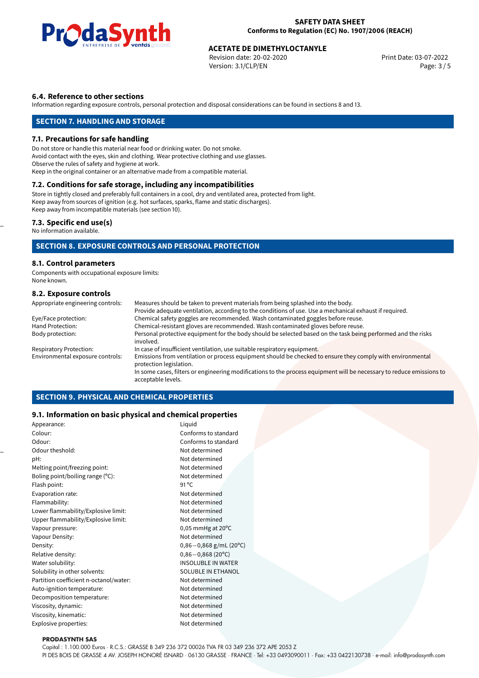

Revision date: 20-02-2020 Version: 3.1/CLP/EN Page: 3 / 5

### **6.4. Reference to other sections**

Information regarding exposure controls, personal protection and disposal considerations can be found in sections 8 and 13.

# **SECTION 7. HANDLING AND STORAGE**

#### **7.1. Precautions for safe handling**

Do not store or handle this material near food or drinking water. Do not smoke. Avoid contact with the eyes, skin and clothing. Wear protective clothing and use glasses. Observe the rules of safety and hygiene at work. Keep in the original container or an alternative made from a compatible material.

# **7.2. Conditions for safe storage, including any incompatibilities**

Store in tightly closed and preferably full containers in a cool, dry and ventilated area, protected from light. Keep away from sources of ignition (e.g. hot surfaces, sparks, flame and static discharges). Keep away from incompatible materials (see section 10).

#### **7.3. Specific end use(s)**

No information available.

# **SECTION 8. EXPOSURE CONTROLS AND PERSONAL PROTECTION**

#### **8.1. Control parameters**

Components with occupational exposure limits: None known.

### **8.2. Exposure controls**

| Appropriate engineering controls: | Measures should be taken to prevent materials from being splashed into the body.                                                            |
|-----------------------------------|---------------------------------------------------------------------------------------------------------------------------------------------|
|                                   | Provide adequate ventilation, according to the conditions of use. Use a mechanical exhaust if required.                                     |
| Eye/Face protection:              | Chemical safety goggles are recommended. Wash contaminated goggles before reuse.                                                            |
| Hand Protection:                  | Chemical-resistant gloves are recommended. Wash contaminated gloves before reuse.                                                           |
| Body protection:                  | Personal protective equipment for the body should be selected based on the task being performed and the risks<br>involved.                  |
| <b>Respiratory Protection:</b>    | In case of insufficient ventilation, use suitable respiratory equipment.                                                                    |
| Environmental exposure controls:  | Emissions from ventilation or process equipment should be checked to ensure they comply with environmental<br>protection legislation.       |
|                                   | In some cases, filters or engineering modifications to the process equipment will be necessary to reduce emissions to<br>acceptable levels. |

# **SECTION 9. PHYSICAL AND CHEMICAL PROPERTIES**

#### **9.1. Information on basic physical and chemical properties**

| Appearance:                            | Liquid                        |
|----------------------------------------|-------------------------------|
| Colour:                                | Conforms to standard          |
| Odour:                                 | Conforms to standard          |
| Odour theshold:                        | Not determined                |
| pH:                                    | Not determined                |
| Melting point/freezing point:          | Not determined                |
| Boling point/boiling range (°C):       | Not determined                |
| Flash point:                           | 91 $^{\circ}$ C               |
| Evaporation rate:                      | Not determined                |
| Flammability:                          | Not determined                |
| Lower flammability/Explosive limit:    | Not determined                |
| Upper flammability/Explosive limit:    | Not determined                |
| Vapour pressure:                       | $0,05$ mmHg at $20^{\circ}$ C |
| Vapour Density:                        | Not determined                |
| Density:                               | $0,86-0,868$ g/mL (20°C)      |
| Relative density:                      | $0,86 - 0,868(20^{\circ}C)$   |
| Water solubility:                      | <b>INSOLUBLE IN WATER</b>     |
| Solubility in other solvents:          | <b>SOLUBLE IN ETHANOL</b>     |
| Partition coefficient n-octanol/water: | Not determined                |
| Auto-ignition temperature:             | Not determined                |
| Decomposition temperature:             | Not determined                |
| Viscosity, dynamic:                    | Not determined                |
| Viscosity, kinematic:                  | Not determined                |
| Explosive properties:                  | Not determined                |
|                                        |                               |

#### **PRODASYNTH SAS**

Capital : 1.100.000 Euros · R.C.S.: GRASSE B 349 236 372 00026 TVA FR 03 349 236 372 APE 2053 Z

PI DES BOIS DE GRASSE 4 AV. JOSEPH HONORÉ ISNARD · 06130 GRASSE · FRANCE · Tel: +33 0493090011 · Fax: +33 0422130738 · e-mail: info@prodasynth.com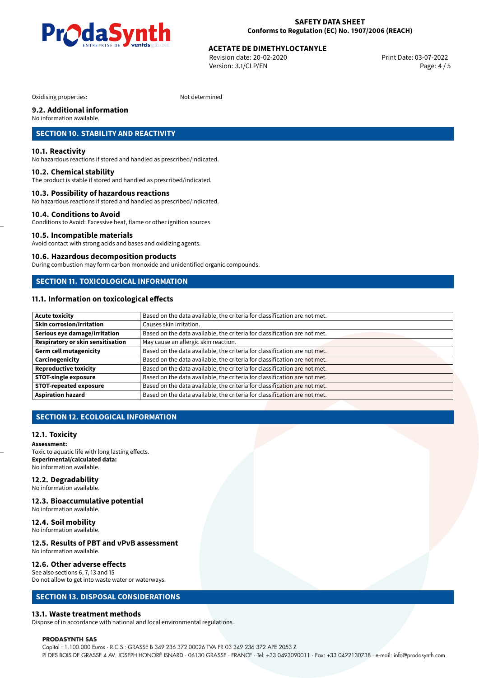

Revision date: 20-02-2020 Version: 3.1/CLP/EN Page: 4 / 5

Oxidising properties: Not determined

# **9.2. Additional information**

No information available.

# **SECTION 10. STABILITY AND REACTIVITY**

#### **10.1. Reactivity**

No hazardous reactions if stored and handled as prescribed/indicated.

#### **10.2. Chemical stability**

The product is stable if stored and handled as prescribed/indicated.

#### **10.3. Possibility of hazardous reactions**

No hazardous reactions if stored and handled as prescribed/indicated.

#### **10.4. Conditions to Avoid**

Conditions to Avoid: Excessive heat, flame or other ignition sources.

#### **10.5. Incompatible materials**

Avoid contact with strong acids and bases and oxidizing agents.

#### **10.6. Hazardous decomposition products**

During combustion may form carbon monoxide and unidentified organic compounds.

# **SECTION 11. TOXICOLOGICAL INFORMATION**

# **11.1. Information on toxicological effects**

| <b>Acute toxicity</b>             | Based on the data available, the criteria for classification are not met. |
|-----------------------------------|---------------------------------------------------------------------------|
| <b>Skin corrosion/irritation</b>  | Causes skin irritation.                                                   |
| Serious eye damage/irritation     | Based on the data available, the criteria for classification are not met. |
| Respiratory or skin sensitisation | May cause an allergic skin reaction.                                      |
| <b>Germ cell mutagenicity</b>     | Based on the data available, the criteria for classification are not met. |
| Carcinogenicity                   | Based on the data available, the criteria for classification are not met. |
| <b>Reproductive toxicity</b>      | Based on the data available, the criteria for classification are not met. |
| <b>STOT-single exposure</b>       | Based on the data available, the criteria for classification are not met. |
| <b>STOT-repeated exposure</b>     | Based on the data available, the criteria for classification are not met. |
| <b>Aspiration hazard</b>          | Based on the data available, the criteria for classification are not met. |

# **SECTION 12. ECOLOGICAL INFORMATION**

#### **12.1. Toxicity**

**Assessment:** Toxic to aquatic life with long lasting effects. **Experimental/calculated data:** No information available.

# **12.2. Degradability**

No information available.

#### **12.3. Bioaccumulative potential** No information available.

# **12.4. Soil mobility**

No information available.

#### **12.5. Results of PBT and vPvB assessment** No information available.

#### **12.6. Other adverse effects** See also sections 6, 7, 13 and 15

Do not allow to get into waste water or waterways.

# **SECTION 13. DISPOSAL CONSIDERATIONS**

#### **13.1. Waste treatment methods**

Dispose of in accordance with national and local environmental regulations.

#### **PRODASYNTH SAS**

Capital : 1.100.000 Euros · R.C.S.: GRASSE B 349 236 372 00026 TVA FR 03 349 236 372 APE 2053 Z PI DES BOIS DE GRASSE 4 AV. JOSEPH HONORÉ ISNARD · 06130 GRASSE · FRANCE · Tel: +33 0493090011 · Fax: +33 0422130738 · e-mail: info@prodasynth.com